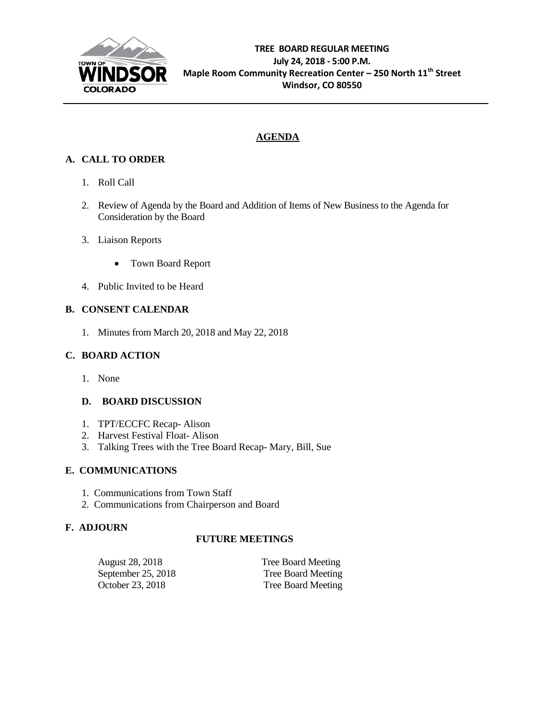

## **AGENDA**

## **A. CALL TO ORDER**

- 1. Roll Call
- 2. Review of Agenda by the Board and Addition of Items of New Business to the Agenda for Consideration by the Board
- 3. Liaison Reports
	- Town Board Report
- 4. Public Invited to be Heard

## **B. CONSENT CALENDAR**

1. Minutes from March 20, 2018 and May 22, 2018

## **C. BOARD ACTION**

1. None

## **D. BOARD DISCUSSION**

- 1. TPT/ECCFC Recap- Alison
- 2. Harvest Festival Float- Alison
- 3. Talking Trees with the Tree Board Recap- Mary, Bill, Sue

## **E. COMMUNICATIONS**

- 1. Communications from Town Staff
- 2. Communications from Chairperson and Board

## **F. ADJOURN**

## **FUTURE MEETINGS**

| August 28, 2018    | <b>Tree Board Meeting</b> |
|--------------------|---------------------------|
| September 25, 2018 | Tree Board Meeting        |
| October 23, 2018   | Tree Board Meeting        |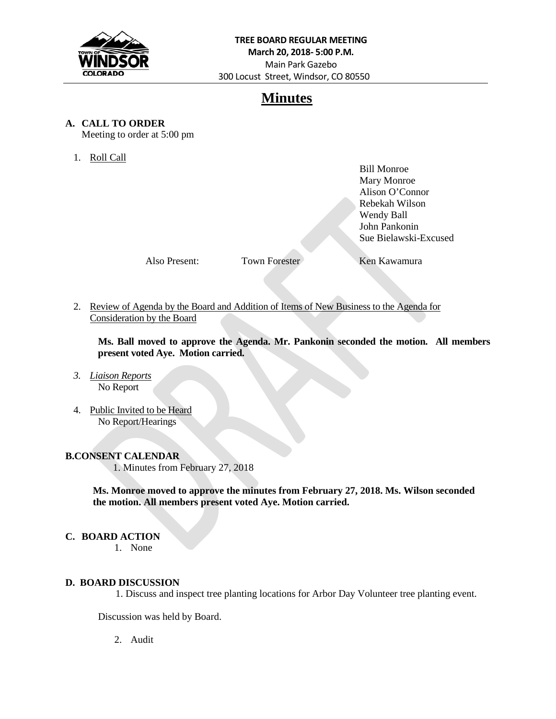

## **Minutes**

### **A. CALL TO ORDER**

Meeting to order at 5:00 pm

1. Roll Call

Bill Monroe Mary Monroe Alison O'Connor Rebekah Wilson Wendy Ball John Pankonin Sue Bielawski-Excused

Also Present: Town Forester Ken Kawamura

2. Review of Agenda by the Board and Addition of Items of New Business to the Agenda for Consideration by the Board

**Ms. Ball moved to approve the Agenda. Mr. Pankonin seconded the motion. All members present voted Aye. Motion carried.**

- *3. Liaison Reports* No Report
- 4. Public Invited to be Heard No Report/Hearings

## **B.CONSENT CALENDAR**

1. Minutes from February 27, 2018

 **Ms. Monroe moved to approve the minutes from February 27, 2018. Ms. Wilson seconded the motion. All members present voted Aye. Motion carried.**

#### **C. BOARD ACTION**

1. None

#### **D. BOARD DISCUSSION**

1. Discuss and inspect tree planting locations for Arbor Day Volunteer tree planting event.

Discussion was held by Board.

2. Audit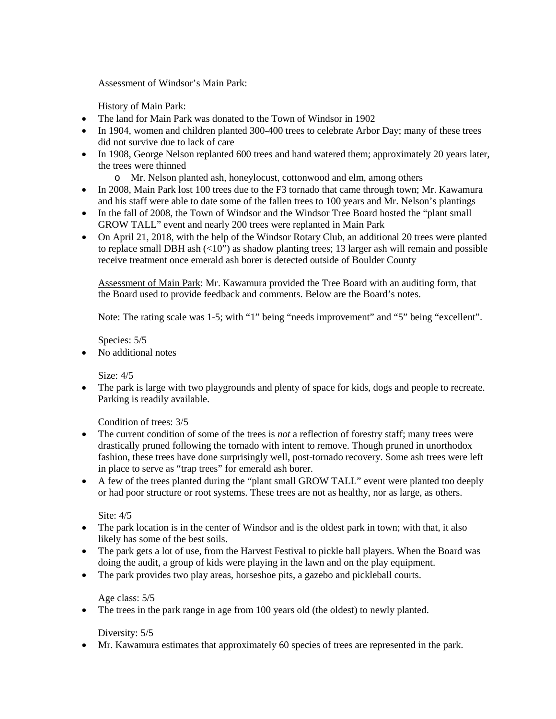Assessment of Windsor's Main Park:

History of Main Park:

- The land for Main Park was donated to the Town of Windsor in 1902
- In 1904, women and children planted 300-400 trees to celebrate Arbor Day; many of these trees did not survive due to lack of care
- In 1908, George Nelson replanted 600 trees and hand watered them; approximately 20 years later, the trees were thinned
	- o Mr. Nelson planted ash, honeylocust, cottonwood and elm, among others
- In 2008, Main Park lost 100 trees due to the F3 tornado that came through town; Mr. Kawamura and his staff were able to date some of the fallen trees to 100 years and Mr. Nelson's plantings
- In the fall of 2008, the Town of Windsor and the Windsor Tree Board hosted the "plant small" GROW TALL" event and nearly 200 trees were replanted in Main Park
- On April 21, 2018, with the help of the Windsor Rotary Club, an additional 20 trees were planted to replace small DBH ash  $\left($ <10") as shadow planting trees; 13 larger ash will remain and possible receive treatment once emerald ash borer is detected outside of Boulder County

Assessment of Main Park: Mr. Kawamura provided the Tree Board with an auditing form, that the Board used to provide feedback and comments. Below are the Board's notes.

Note: The rating scale was 1-5; with "1" being "needs improvement" and "5" being "excellent".

Species: 5/5

• No additional notes

Size: 4/5

• The park is large with two playgrounds and plenty of space for kids, dogs and people to recreate. Parking is readily available.

Condition of trees: 3/5

- The current condition of some of the trees is *not* a reflection of forestry staff; many trees were drastically pruned following the tornado with intent to remove. Though pruned in unorthodox fashion, these trees have done surprisingly well, post-tornado recovery. Some ash trees were left in place to serve as "trap trees" for emerald ash borer.
- A few of the trees planted during the "plant small GROW TALL" event were planted too deeply or had poor structure or root systems. These trees are not as healthy, nor as large, as others.

Site: 4/5

- The park location is in the center of Windsor and is the oldest park in town; with that, it also likely has some of the best soils.
- The park gets a lot of use, from the Harvest Festival to pickle ball players. When the Board was doing the audit, a group of kids were playing in the lawn and on the play equipment.
- The park provides two play areas, horseshoe pits, a gazebo and pickleball courts.

Age class: 5/5

• The trees in the park range in age from 100 years old (the oldest) to newly planted.

Diversity:  $5/5$ 

• Mr. Kawamura estimates that approximately 60 species of trees are represented in the park.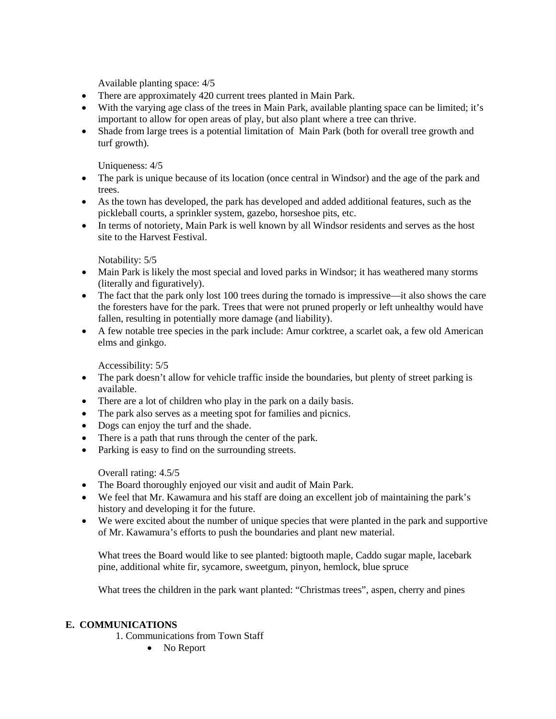Available planting space: 4/5

- There are approximately 420 current trees planted in Main Park.
- With the varying age class of the trees in Main Park, available planting space can be limited; it's important to allow for open areas of play, but also plant where a tree can thrive.
- Shade from large trees is a potential limitation of Main Park (both for overall tree growth and turf growth).

Uniqueness: 4/5

- The park is unique because of its location (once central in Windsor) and the age of the park and trees.
- As the town has developed, the park has developed and added additional features, such as the pickleball courts, a sprinkler system, gazebo, horseshoe pits, etc.
- In terms of notoriety, Main Park is well known by all Windsor residents and serves as the host site to the Harvest Festival.

Notability: 5/5

- Main Park is likely the most special and loved parks in Windsor; it has weathered many storms (literally and figuratively).
- The fact that the park only lost 100 trees during the tornado is impressive—it also shows the care the foresters have for the park. Trees that were not pruned properly or left unhealthy would have fallen, resulting in potentially more damage (and liability).
- A few notable tree species in the park include: Amur corktree, a scarlet oak, a few old American elms and ginkgo.

Accessibility: 5/5

- The park doesn't allow for vehicle traffic inside the boundaries, but plenty of street parking is available.
- There are a lot of children who play in the park on a daily basis.
- The park also serves as a meeting spot for families and picnics.
- Dogs can enjoy the turf and the shade.
- There is a path that runs through the center of the park.
- Parking is easy to find on the surrounding streets.

Overall rating: 4.5/5

- The Board thoroughly enjoyed our visit and audit of Main Park.
- We feel that Mr. Kawamura and his staff are doing an excellent job of maintaining the park's history and developing it for the future.
- We were excited about the number of unique species that were planted in the park and supportive of Mr. Kawamura's efforts to push the boundaries and plant new material.

What trees the Board would like to see planted: bigtooth maple, Caddo sugar maple, lacebark pine, additional white fir, sycamore, sweetgum, pinyon, hemlock, blue spruce

What trees the children in the park want planted: "Christmas trees", aspen, cherry and pines

#### **E. COMMUNICATIONS**

- 1. Communications from Town Staff
	- No Report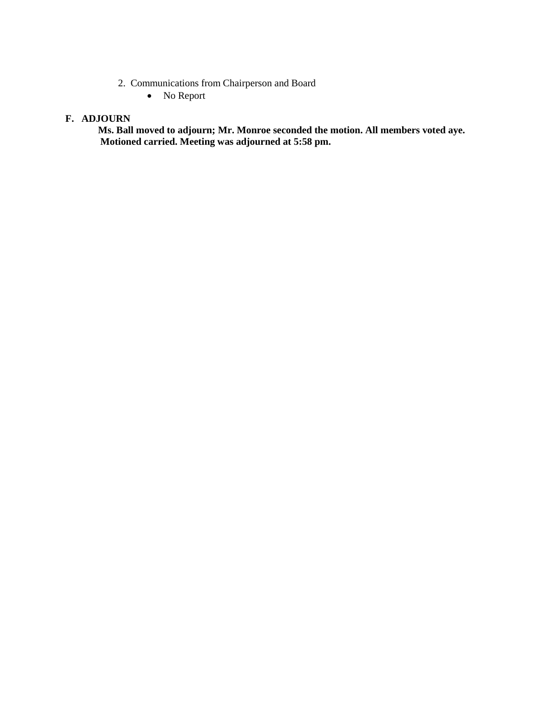- 2. Communications from Chairperson and Board
	- No Report

#### **F. ADJOURN**

**Ms. Ball moved to adjourn; Mr. Monroe seconded the motion. All members voted aye. Motioned carried. Meeting was adjourned at 5:58 pm.**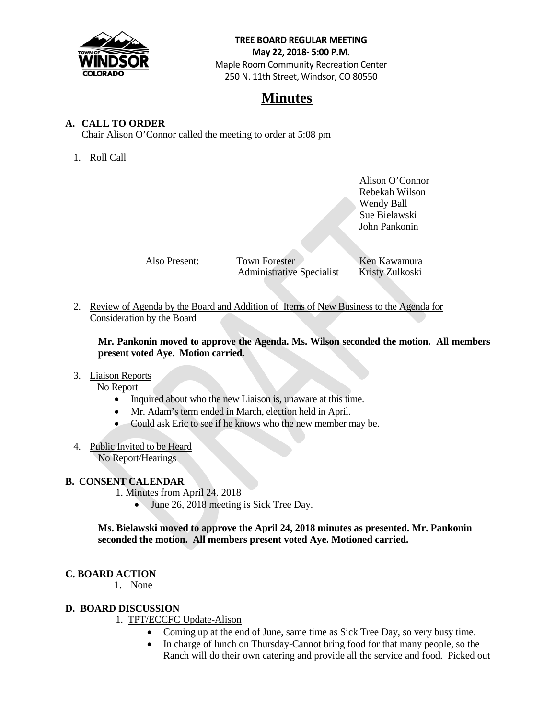

## **Minutes**

### **A. CALL TO ORDER**

Chair Alison O'Connor called the meeting to order at 5:08 pm

## 1. Roll Call

Alison O'Connor Rebekah Wilson Wendy Ball Sue Bielawski John Pankonin

Also Present: Town Forester Ken Kawamura Administrative Specialist Kristy Zulkoski

2. Review of Agenda by the Board and Addition of Items of New Business to the Agenda for Consideration by the Board

**Mr. Pankonin moved to approve the Agenda. Ms. Wilson seconded the motion. All members present voted Aye. Motion carried.**

#### 3. Liaison Reports

No Report

- Inquired about who the new Liaison is, unaware at this time.
- Mr. Adam's term ended in March, election held in April.
- Could ask Eric to see if he knows who the new member may be.
- 4. Public Invited to be Heard No Report/Hearings

#### **B. CONSENT CALENDAR**

- 1. Minutes from April 24. 2018
	- June 26, 2018 meeting is Sick Tree Day.

**Ms. Bielawski moved to approve the April 24, 2018 minutes as presented. Mr. Pankonin seconded the motion. All members present voted Aye. Motioned carried.**

#### **C. BOARD ACTION**

1. None

#### **D. BOARD DISCUSSION**

- 1. TPT/ECCFC Update-Alison
	- Coming up at the end of June, same time as Sick Tree Day, so very busy time.
	- In charge of lunch on Thursday-Cannot bring food for that many people, so the Ranch will do their own catering and provide all the service and food. Picked out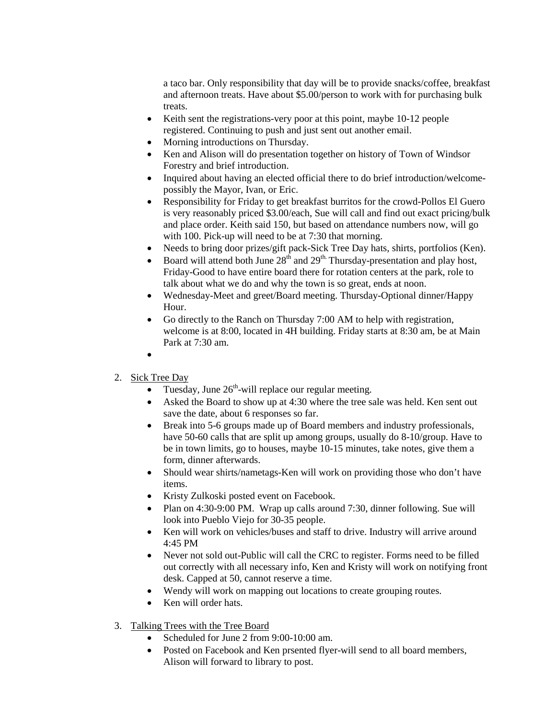a taco bar. Only responsibility that day will be to provide snacks/coffee, breakfast and afternoon treats. Have about \$5.00/person to work with for purchasing bulk treats.

- Keith sent the registrations-very poor at this point, maybe 10-12 people registered. Continuing to push and just sent out another email.
- Morning introductions on Thursday.
- Ken and Alison will do presentation together on history of Town of Windsor Forestry and brief introduction.
- Inquired about having an elected official there to do brief introduction/welcomepossibly the Mayor, Ivan, or Eric.
- Responsibility for Friday to get breakfast burritos for the crowd-Pollos El Guero is very reasonably priced \$3.00/each, Sue will call and find out exact pricing/bulk and place order. Keith said 150, but based on attendance numbers now, will go with 100. Pick-up will need to be at 7:30 that morning.
- Needs to bring door prizes/gift pack-Sick Tree Day hats, shirts, portfolios (Ken).
- Board will attend both June  $28<sup>th</sup>$  and  $29<sup>th</sup>$  Thursday-presentation and play host, Friday-Good to have entire board there for rotation centers at the park, role to talk about what we do and why the town is so great, ends at noon.
- Wednesday-Meet and greet/Board meeting. Thursday-Optional dinner/Happy Hour.
- Go directly to the Ranch on Thursday 7:00 AM to help with registration, welcome is at 8:00, located in 4H building. Friday starts at 8:30 am, be at Main Park at 7:30 am.
- •
- 2. Sick Tree Day
	- Tuesday, June  $26<sup>th</sup>$ -will replace our regular meeting.
	- Asked the Board to show up at 4:30 where the tree sale was held. Ken sent out save the date, about 6 responses so far.
	- Break into 5-6 groups made up of Board members and industry professionals, have 50-60 calls that are split up among groups, usually do 8-10/group. Have to be in town limits, go to houses, maybe 10-15 minutes, take notes, give them a form, dinner afterwards.
	- Should wear shirts/nametags-Ken will work on providing those who don't have items.
	- Kristy Zulkoski posted event on Facebook.
	- Plan on 4:30-9:00 PM. Wrap up calls around 7:30, dinner following. Sue will look into Pueblo Viejo for 30-35 people.
	- Ken will work on vehicles/buses and staff to drive. Industry will arrive around 4:45 PM
	- Never not sold out-Public will call the CRC to register. Forms need to be filled out correctly with all necessary info, Ken and Kristy will work on notifying front desk. Capped at 50, cannot reserve a time.
	- Wendy will work on mapping out locations to create grouping routes.
	- Ken will order hats.
- 3. Talking Trees with the Tree Board
	- Scheduled for June 2 from 9:00-10:00 am.
	- Posted on Facebook and Ken prsented flyer-will send to all board members, Alison will forward to library to post.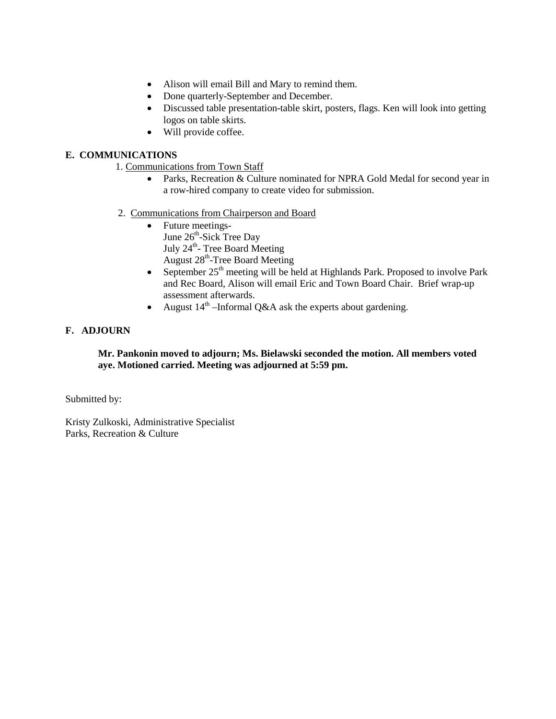- Alison will email Bill and Mary to remind them.
- Done quarterly-September and December.
- Discussed table presentation-table skirt, posters, flags. Ken will look into getting logos on table skirts.
- Will provide coffee.

### **E. COMMUNICATIONS**

- 1. Communications from Town Staff
	- Parks, Recreation & Culture nominated for NPRA Gold Medal for second year in a row-hired company to create video for submission.
- 2. Communications from Chairperson and Board
	- Future meetings-June 26<sup>th</sup>-Sick Tree Day July 24<sup>th</sup>- Tree Board Meeting August 28th-Tree Board Meeting
	- September  $25<sup>th</sup>$  meeting will be held at Highlands Park. Proposed to involve Park and Rec Board, Alison will email Eric and Town Board Chair. Brief wrap-up assessment afterwards.
	- August  $14<sup>th</sup>$  –Informal Q&A ask the experts about gardening.

### **F. ADJOURN**

#### **Mr. Pankonin moved to adjourn; Ms. Bielawski seconded the motion. All members voted aye. Motioned carried. Meeting was adjourned at 5:59 pm.**

Submitted by:

Kristy Zulkoski, Administrative Specialist Parks, Recreation & Culture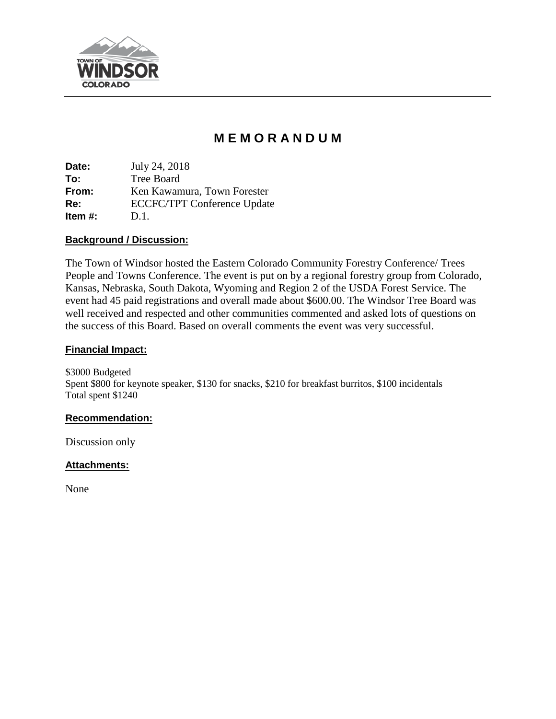

# **M E M O R A N D U M**

**Date:** July 24, 2018 **To:** Tree Board **From:** Ken Kawamura, Town Forester **Re:** ECCFC/TPT Conference Update **Item #:** D.1.

## **Background / Discussion:**

The Town of Windsor hosted the Eastern Colorado Community Forestry Conference/ Trees People and Towns Conference. The event is put on by a regional forestry group from Colorado, Kansas, Nebraska, South Dakota, Wyoming and Region 2 of the USDA Forest Service. The event had 45 paid registrations and overall made about \$600.00. The Windsor Tree Board was well received and respected and other communities commented and asked lots of questions on the success of this Board. Based on overall comments the event was very successful.

## **Financial Impact:**

\$3000 Budgeted Spent \$800 for keynote speaker, \$130 for snacks, \$210 for breakfast burritos, \$100 incidentals Total spent \$1240

## **Recommendation:**

Discussion only

## **Attachments:**

None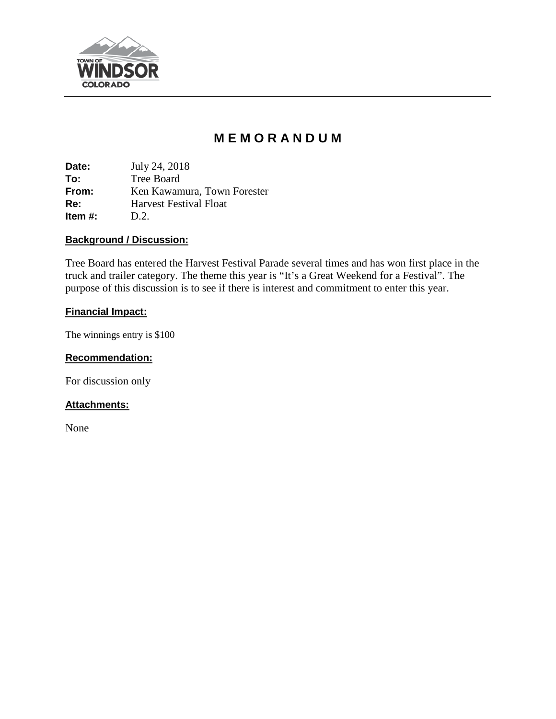

# **M E M O R A N D U M**

**Date:** July 24, 2018 **To:** Tree Board **From:** Ken Kawamura, Town Forester **Re:** Harvest Festival Float **Item #:** D.2.

## **Background / Discussion:**

Tree Board has entered the Harvest Festival Parade several times and has won first place in the truck and trailer category. The theme this year is "It's a Great Weekend for a Festival". The purpose of this discussion is to see if there is interest and commitment to enter this year.

## **Financial Impact:**

The winnings entry is \$100

## **Recommendation:**

For discussion only

## **Attachments:**

None